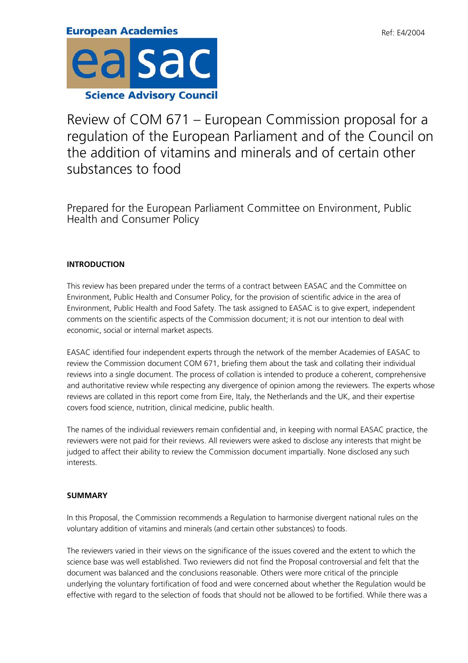Review of COM 671 – European Commission proposal for a regulation of the European Parliament and of the Council on the addition of vitamins and minerals and of certain other substances to food

Prepared for the European Parliament Committee on Environment, Public Health and Consumer Policy

# **INTRODUCTION**

This review has been prepared under the terms of a contract between EASAC and the Committee on Environment, Public Health and Consumer Policy, for the provision of scientific advice in the area of Environment, Public Health and Food Safety. The task assigned to EASAC is to give expert, independent comments on the scientific aspects of the Commission document; it is not our intention to deal with economic, social or internal market aspects.

EASAC identified four independent experts through the network of the member Academies of EASAC to review the Commission document COM 671, briefing them about the task and collating their individual reviews into a single document. The process of collation is intended to produce a coherent, comprehensive and authoritative review while respecting any divergence of opinion among the reviewers. The experts whose reviews are collated in this report come from Eire, Italy, the Netherlands and the UK, and their expertise covers food science, nutrition, clinical medicine, public health.

The names of the individual reviewers remain confidential and, in keeping with normal EASAC practice, the reviewers were not paid for their reviews. All reviewers were asked to disclose any interests that might be judged to affect their ability to review the Commission document impartially. None disclosed any such interests.

## **SUMMARY**

In this Proposal, the Commission recommends a Regulation to harmonise divergent national rules on the voluntary addition of vitamins and minerals (and certain other substances) to foods.

The reviewers varied in their views on the significance of the issues covered and the extent to which the science base was well established. Two reviewers did not find the Proposal controversial and felt that the document was balanced and the conclusions reasonable. Others were more critical of the principle underlying the voluntary fortification of food and were concerned about whether the Regulation would be effective with regard to the selection of foods that should not be allowed to be fortified. While there was a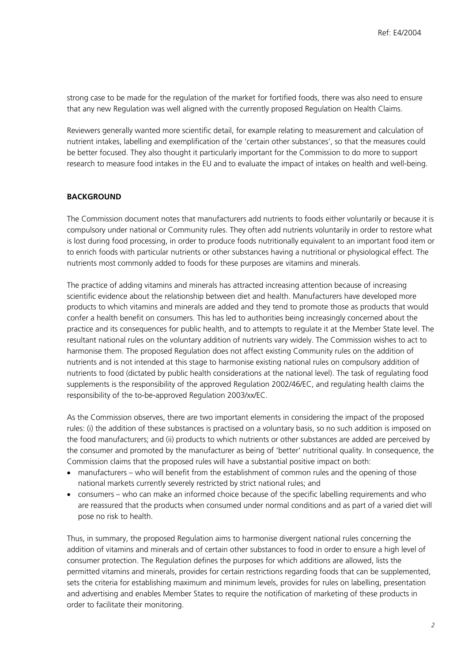strong case to be made for the regulation of the market for fortified foods, there was also need to ensure that any new Regulation was well aligned with the currently proposed Regulation on Health Claims.

Reviewers generally wanted more scientific detail, for example relating to measurement and calculation of nutrient intakes, labelling and exemplification of the 'certain other substances', so that the measures could be better focused. They also thought it particularly important for the Commission to do more to support research to measure food intakes in the EU and to evaluate the impact of intakes on health and well-being.

#### **BACKGROUND**

The Commission document notes that manufacturers add nutrients to foods either voluntarily or because it is compulsory under national or Community rules. They often add nutrients voluntarily in order to restore what is lost during food processing, in order to produce foods nutritionally equivalent to an important food item or to enrich foods with particular nutrients or other substances having a nutritional or physiological effect. The nutrients most commonly added to foods for these purposes are vitamins and minerals.

The practice of adding vitamins and minerals has attracted increasing attention because of increasing scientific evidence about the relationship between diet and health. Manufacturers have developed more products to which vitamins and minerals are added and they tend to promote those as products that would confer a health benefit on consumers. This has led to authorities being increasingly concerned about the practice and its consequences for public health, and to attempts to regulate it at the Member State level. The resultant national rules on the voluntary addition of nutrients vary widely. The Commission wishes to act to harmonise them. The proposed Regulation does not affect existing Community rules on the addition of nutrients and is not intended at this stage to harmonise existing national rules on compulsory addition of nutrients to food (dictated by public health considerations at the national level). The task of regulating food supplements is the responsibility of the approved Regulation 2002/46/EC, and regulating health claims the responsibility of the to-be-approved Regulation 2003/xx/EC.

As the Commission observes, there are two important elements in considering the impact of the proposed rules: (i) the addition of these substances is practised on a voluntary basis, so no such addition is imposed on the food manufacturers; and (ii) products to which nutrients or other substances are added are perceived by the consumer and promoted by the manufacturer as being of 'better' nutritional quality. In consequence, the Commission claims that the proposed rules will have a substantial positive impact on both:

- manufacturers who will benefit from the establishment of common rules and the opening of those national markets currently severely restricted by strict national rules; and
- consumers who can make an informed choice because of the specific labelling requirements and who are reassured that the products when consumed under normal conditions and as part of a varied diet will pose no risk to health.

Thus, in summary, the proposed Regulation aims to harmonise divergent national rules concerning the addition of vitamins and minerals and of certain other substances to food in order to ensure a high level of consumer protection. The Regulation defines the purposes for which additions are allowed, lists the permitted vitamins and minerals, provides for certain restrictions regarding foods that can be supplemented, sets the criteria for establishing maximum and minimum levels, provides for rules on labelling, presentation and advertising and enables Member States to require the notification of marketing of these products in order to facilitate their monitoring.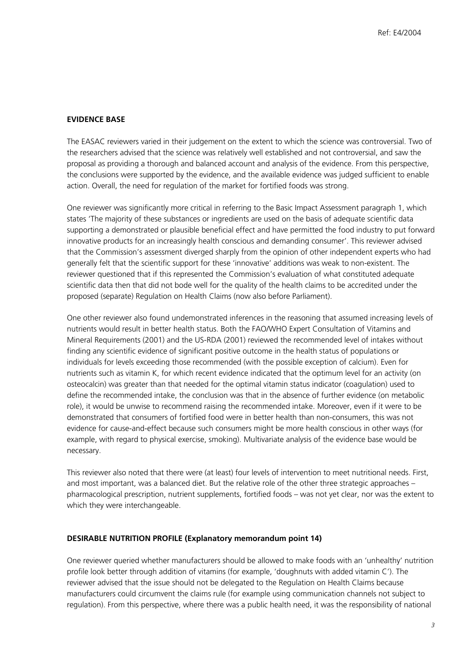### **EVIDENCE BASE**

The EASAC reviewers varied in their judgement on the extent to which the science was controversial. Two of the researchers advised that the science was relatively well established and not controversial, and saw the proposal as providing a thorough and balanced account and analysis of the evidence. From this perspective, the conclusions were supported by the evidence, and the available evidence was judged sufficient to enable action. Overall, the need for regulation of the market for fortified foods was strong.

One reviewer was significantly more critical in referring to the Basic Impact Assessment paragraph 1, which states 'The majority of these substances or ingredients are used on the basis of adequate scientific data supporting a demonstrated or plausible beneficial effect and have permitted the food industry to put forward innovative products for an increasingly health conscious and demanding consumer'. This reviewer advised that the Commission's assessment diverged sharply from the opinion of other independent experts who had generally felt that the scientific support for these 'innovative' additions was weak to non-existent. The reviewer questioned that if this represented the Commission's evaluation of what constituted adequate scientific data then that did not bode well for the quality of the health claims to be accredited under the proposed (separate) Regulation on Health Claims (now also before Parliament).

One other reviewer also found undemonstrated inferences in the reasoning that assumed increasing levels of nutrients would result in better health status. Both the FAO/WHO Expert Consultation of Vitamins and Mineral Requirements (2001) and the US-RDA (2001) reviewed the recommended level of intakes without finding any scientific evidence of significant positive outcome in the health status of populations or individuals for levels exceeding those recommended (with the possible exception of calcium). Even for nutrients such as vitamin K, for which recent evidence indicated that the optimum level for an activity (on osteocalcin) was greater than that needed for the optimal vitamin status indicator (coagulation) used to define the recommended intake, the conclusion was that in the absence of further evidence (on metabolic role), it would be unwise to recommend raising the recommended intake. Moreover, even if it were to be demonstrated that consumers of fortified food were in better health than non-consumers, this was not evidence for cause-and-effect because such consumers might be more health conscious in other ways (for example, with regard to physical exercise, smoking). Multivariate analysis of the evidence base would be necessary.

This reviewer also noted that there were (at least) four levels of intervention to meet nutritional needs. First, and most important, was a balanced diet. But the relative role of the other three strategic approaches – pharmacological prescription, nutrient supplements, fortified foods – was not yet clear, nor was the extent to which they were interchangeable.

#### **DESIRABLE NUTRITION PROFILE (Explanatory memorandum point 14)**

One reviewer queried whether manufacturers should be allowed to make foods with an 'unhealthy' nutrition profile look better through addition of vitamins (for example, 'doughnuts with added vitamin C'). The reviewer advised that the issue should not be delegated to the Regulation on Health Claims because manufacturers could circumvent the claims rule (for example using communication channels not subject to regulation). From this perspective, where there was a public health need, it was the responsibility of national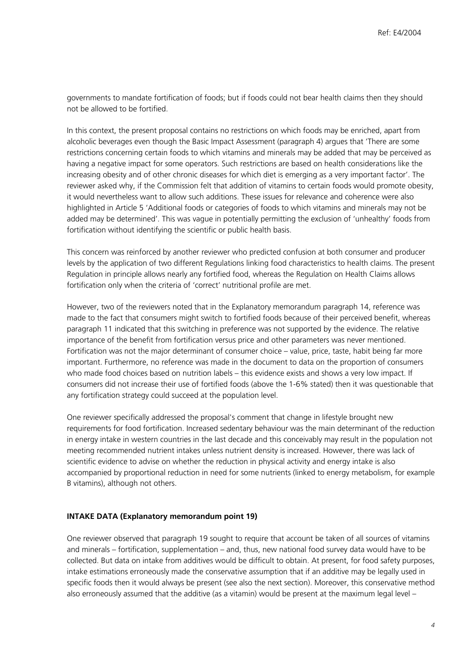governments to mandate fortification of foods; but if foods could not bear health claims then they should not be allowed to be fortified.

In this context, the present proposal contains no restrictions on which foods may be enriched, apart from alcoholic beverages even though the Basic Impact Assessment (paragraph 4) argues that 'There are some restrictions concerning certain foods to which vitamins and minerals may be added that may be perceived as having a negative impact for some operators. Such restrictions are based on health considerations like the increasing obesity and of other chronic diseases for which diet is emerging as a very important factor'. The reviewer asked why, if the Commission felt that addition of vitamins to certain foods would promote obesity, it would nevertheless want to allow such additions. These issues for relevance and coherence were also highlighted in Article 5 'Additional foods or categories of foods to which vitamins and minerals may not be added may be determined'. This was vague in potentially permitting the exclusion of 'unhealthy' foods from fortification without identifying the scientific or public health basis.

This concern was reinforced by another reviewer who predicted confusion at both consumer and producer levels by the application of two different Regulations linking food characteristics to health claims. The present Regulation in principle allows nearly any fortified food, whereas the Regulation on Health Claims allows fortification only when the criteria of 'correct' nutritional profile are met.

However, two of the reviewers noted that in the Explanatory memorandum paragraph 14, reference was made to the fact that consumers might switch to fortified foods because of their perceived benefit, whereas paragraph 11 indicated that this switching in preference was not supported by the evidence. The relative importance of the benefit from fortification versus price and other parameters was never mentioned. Fortification was not the major determinant of consumer choice – value, price, taste, habit being far more important. Furthermore, no reference was made in the document to data on the proportion of consumers who made food choices based on nutrition labels – this evidence exists and shows a very low impact. If consumers did not increase their use of fortified foods (above the 1-6% stated) then it was questionable that any fortification strategy could succeed at the population level.

One reviewer specifically addressed the proposal's comment that change in lifestyle brought new requirements for food fortification. Increased sedentary behaviour was the main determinant of the reduction in energy intake in western countries in the last decade and this conceivably may result in the population not meeting recommended nutrient intakes unless nutrient density is increased. However, there was lack of scientific evidence to advise on whether the reduction in physical activity and energy intake is also accompanied by proportional reduction in need for some nutrients (linked to energy metabolism, for example B vitamins), although not others.

#### **INTAKE DATA (Explanatory memorandum point 19)**

One reviewer observed that paragraph 19 sought to require that account be taken of all sources of vitamins and minerals – fortification, supplementation – and, thus, new national food survey data would have to be collected. But data on intake from additives would be difficult to obtain. At present, for food safety purposes, intake estimations erroneously made the conservative assumption that if an additive may be legally used in specific foods then it would always be present (see also the next section). Moreover, this conservative method also erroneously assumed that the additive (as a vitamin) would be present at the maximum legal level –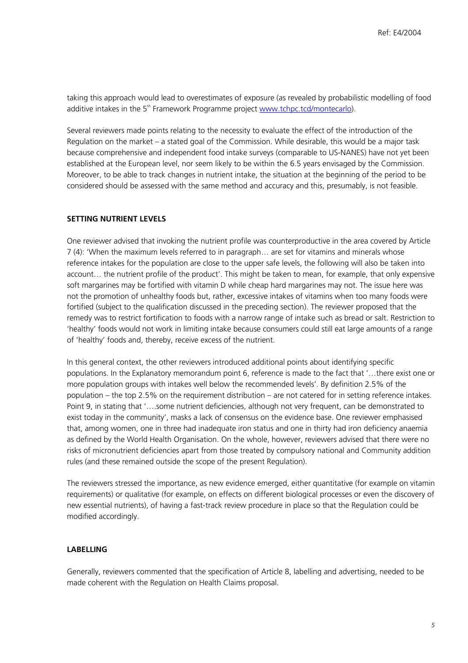taking this approach would lead to overestimates of exposure (as revealed by probabilistic modelling of food additive intakes in the 5<sup>th</sup> Framework Programme project [www.tchpc.tcd/montecarlo\)](http://www.tchpc.tcd/montecarlo).

Several reviewers made points relating to the necessity to evaluate the effect of the introduction of the Regulation on the market – a stated goal of the Commission. While desirable, this would be a major task because comprehensive and independent food intake surveys (comparable to US-NANES) have not yet been established at the European level, nor seem likely to be within the 6.5 years envisaged by the Commission. Moreover, to be able to track changes in nutrient intake, the situation at the beginning of the period to be considered should be assessed with the same method and accuracy and this, presumably, is not feasible.

### **SETTING NUTRIENT LEVELS**

One reviewer advised that invoking the nutrient profile was counterproductive in the area covered by Article 7 (4): 'When the maximum levels referred to in paragraph… are set for vitamins and minerals whose reference intakes for the population are close to the upper safe levels, the following will also be taken into account… the nutrient profile of the product'. This might be taken to mean, for example, that only expensive soft margarines may be fortified with vitamin D while cheap hard margarines may not. The issue here was not the promotion of unhealthy foods but, rather, excessive intakes of vitamins when too many foods were fortified (subject to the qualification discussed in the preceding section). The reviewer proposed that the remedy was to restrict fortification to foods with a narrow range of intake such as bread or salt. Restriction to 'healthy' foods would not work in limiting intake because consumers could still eat large amounts of a range of 'healthy' foods and, thereby, receive excess of the nutrient.

In this general context, the other reviewers introduced additional points about identifying specific populations. In the Explanatory memorandum point 6, reference is made to the fact that '…there exist one or more population groups with intakes well below the recommended levels'. By definition 2.5% of the population – the top 2.5% on the requirement distribution – are not catered for in setting reference intakes. Point 9, in stating that '….some nutrient deficiencies, although not very frequent, can be demonstrated to exist today in the community', masks a lack of consensus on the evidence base. One reviewer emphasised that, among women, one in three had inadequate iron status and one in thirty had iron deficiency anaemia as defined by the World Health Organisation. On the whole, however, reviewers advised that there were no risks of micronutrient deficiencies apart from those treated by compulsory national and Community addition rules (and these remained outside the scope of the present Regulation).

The reviewers stressed the importance, as new evidence emerged, either quantitative (for example on vitamin requirements) or qualitative (for example, on effects on different biological processes or even the discovery of new essential nutrients), of having a fast-track review procedure in place so that the Regulation could be modified accordingly.

## **LABELLING**

Generally, reviewers commented that the specification of Article 8, labelling and advertising, needed to be made coherent with the Regulation on Health Claims proposal.